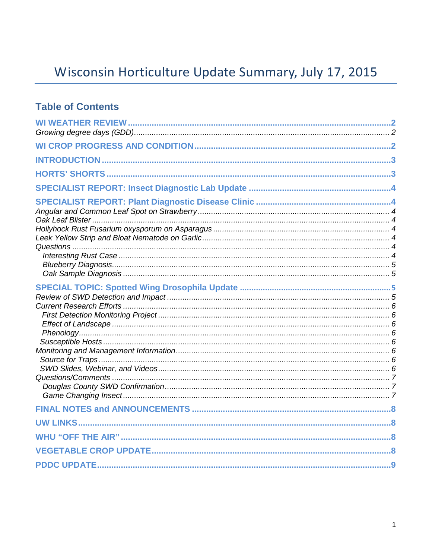# Wisconsin Horticulture Update Summary, July 17, 2015

### **Table of Contents**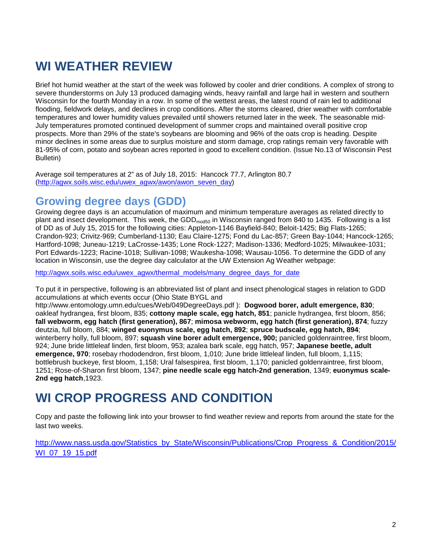## **WI WEATHER REVIEW**

Brief hot humid weather at the start of the week was followed by cooler and drier conditions. A complex of strong to severe thunderstorms on July 13 produced damaging winds, heavy rainfall and large hail in western and southern Wisconsin for the fourth Monday in a row. In some of the wettest areas, the latest round of rain led to additional flooding, fieldwork delays, and declines in crop conditions. After the storms cleared, drier weather with comfortable temperatures and lower humidity values prevailed until showers returned later in the week. The seasonable mid-July temperatures promoted continued development of summer crops and maintained overall positive crop prospects. More than 29% of the state's soybeans are blooming and 96% of the oats crop is heading. Despite minor declines in some areas due to surplus moisture and storm damage, crop ratings remain very favorable with 81-95% of corn, potato and soybean acres reported in good to excellent condition. (Issue No.13 of Wisconsin Pest Bulletin)

Average soil temperatures at 2" as of July 18, 2015: Hancock 77.7, Arlington 80.7 [\(http://agwx.soils.wisc.edu/uwex\\_agwx/awon/awon\\_seven\\_day\)](http://agwx.soils.wisc.edu/uwex_agwx/awon/awon_seven_day)

### **Growing degree days (GDD)**

Growing degree days is an accumulation of maximum and minimum temperature averages as related directly to plant and insect development. This week, the GDD<sub>mod50</sub> in Wisconsin ranged from 840 to 1435. Following is a list of DD as of July 15, 2015 for the following cities: Appleton-1146 Bayfield-840; Beloit-1425; Big Flats-1265; Crandon-923; Crivitz-969; Cumberland-1130; Eau Claire-1275; Fond du Lac-857; Green Bay-1044; Hancock-1265; Hartford-1098; Juneau-1219; LaCrosse-1435; Lone Rock-1227; Madison-1336; Medford-1025; Milwaukee-1031; Port Edwards-1223; Racine-1018; Sullivan-1098; Waukesha-1098; Wausau-1056. To determine the GDD of any location in Wisconsin, use the degree day calculator at the UW Extension Ag Weather webpage:

[http://agwx.soils.wisc.edu/uwex\\_agwx/thermal\\_models/many\\_degree\\_days\\_for\\_date](http://agwx.soils.wisc.edu/uwex_agwx/thermal_models/many_degree_days_for_date)

To put it in perspective, following is an abbreviated list of plant and insect phenological stages in relation to GDD accumulations at which events occur (Ohio State BYGL and

http://www.entomology.umn.edu/cues/Web/049DegreeDays.pdf ): **Dogwood borer, adult emergence, 830**; oakleaf hydrangea, first bloom, 835; **cottony maple scale, egg hatch, 851**; panicle hydrangea, first bloom, 856; **fall webworm, egg hatch (first generation), 867**; **mimosa webworm, egg hatch (first generation), 874**; fuzzy deutzia, full bloom, 884; **winged euonymus scale, egg hatch, 892**; **spruce budscale, egg hatch, 894**; winterberry holly, full bloom, 897; **squash vine borer adult emergence, 900;** panicled goldenraintree, first bloom, 924; June bride littleleaf linden, first bloom, 953; azalea bark scale, egg hatch, 957; **Japanese beetle, adult emergence, 970**; rosebay rhododendron, first bloom, 1,010; June bride littleleaf linden, full bloom, 1,115; bottlebrush buckeye, first bloom, 1,158; Ural falsespirea, first bloom, 1,170; panicled goldenraintree, first bloom, 1251; Rose-of-Sharon first bloom, 1347; **pine needle scale egg hatch-2nd generation**, 1349; **euonymus scale-2nd egg hatch**,1923.

## **WI CROP PROGRESS AND CONDITION**

Copy and paste the following link into your browser to find weather review and reports from around the state for the last two weeks.

[http://www.nass.usda.gov/Statistics\\_by\\_State/Wisconsin/Publications/Crop\\_Progress\\_&\\_Condition/2015/](http://www.nass.usda.gov/Statistics_by_State/Wisconsin/Publications/Crop_Progress_&_Condition/2015/WI_07_19_15.pdf) [WI\\_07\\_19\\_15.pdf](http://www.nass.usda.gov/Statistics_by_State/Wisconsin/Publications/Crop_Progress_&_Condition/2015/WI_07_19_15.pdf)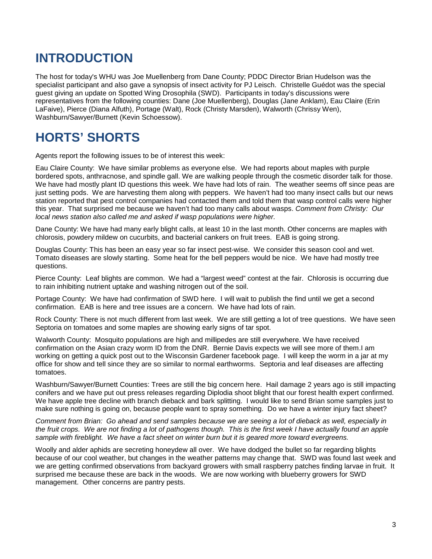## **INTRODUCTION**

The host for today's WHU was Joe Muellenberg from Dane County; PDDC Director Brian Hudelson was the specialist participant and also gave a synopsis of insect activity for PJ Leisch. Christelle Guédot was the special guest giving an update on Spotted Wing Drosophila (SWD). Participants in today's discussions were representatives from the following counties: Dane (Joe Muellenberg), Douglas (Jane Anklam), Eau Claire (Erin LaFaive), Pierce (Diana Alfuth), Portage (Walt), Rock (Christy Marsden), Walworth (Chrissy Wen), Washburn/Sawyer/Burnett (Kevin Schoessow).

## **HORTS' SHORTS**

Agents report the following issues to be of interest this week:

Eau Claire County: We have similar problems as everyone else. We had reports about maples with purple bordered spots, anthracnose, and spindle gall. We are walking people through the cosmetic disorder talk for those. We have had mostly plant ID questions this week. We have had lots of rain. The weather seems off since peas are just setting pods. We are harvesting them along with peppers. We haven't had too many insect calls but our news station reported that pest control companies had contacted them and told them that wasp control calls were higher this year. That surprised me because we haven't had too many calls about wasps. *Comment from Christy: Our local news station also called me and asked if wasp populations were higher.* 

Dane County: We have had many early blight calls, at least 10 in the last month. Other concerns are maples with chlorosis, powdery mildew on cucurbits, and bacterial cankers on fruit trees. EAB is going strong.

Douglas County: This has been an easy year so far insect pest-wise. We consider this season cool and wet. Tomato diseases are slowly starting. Some heat for the bell peppers would be nice. We have had mostly tree questions.

Pierce County: Leaf blights are common. We had a "largest weed" contest at the fair. Chlorosis is occurring due to rain inhibiting nutrient uptake and washing nitrogen out of the soil.

Portage County: We have had confirmation of SWD here. I will wait to publish the find until we get a second confirmation. EAB is here and tree issues are a concern. We have had lots of rain.

Rock County: There is not much different from last week. We are still getting a lot of tree questions. We have seen Septoria on tomatoes and some maples are showing early signs of tar spot.

Walworth County: Mosquito populations are high and millipedes are still everywhere. We have received confirmation on the Asian crazy worm ID from the DNR. Bernie Davis expects we will see more of them.I am working on getting a quick post out to the Wisconsin Gardener facebook page. I will keep the worm in a jar at my office for show and tell since they are so similar to normal earthworms. Septoria and leaf diseases are affecting tomatoes.

Washburn/Sawyer/Burnett Counties: Trees are still the big concern here. Hail damage 2 years ago is still impacting conifers and we have put out press releases regarding Diplodia shoot blight that our forest health expert confirmed. We have apple tree decline with branch dieback and bark splitting. I would like to send Brian some samples just to make sure nothing is going on, because people want to spray something. Do we have a winter injury fact sheet?

*Comment from Brian: Go ahead and send samples because we are seeing a lot of dieback as well, especially in the fruit crops. We are not finding a lot of pathogens though. This is the first week I have actually found an apple sample with fireblight. We have a fact sheet on winter burn but it is geared more toward evergreens.*

Woolly and alder aphids are secreting honeydew all over. We have dodged the bullet so far regarding blights because of our cool weather, but changes in the weather patterns may change that. SWD was found last week and we are getting confirmed observations from backyard growers with small raspberry patches finding larvae in fruit. It surprised me because these are back in the woods. We are now working with blueberry growers for SWD management. Other concerns are pantry pests.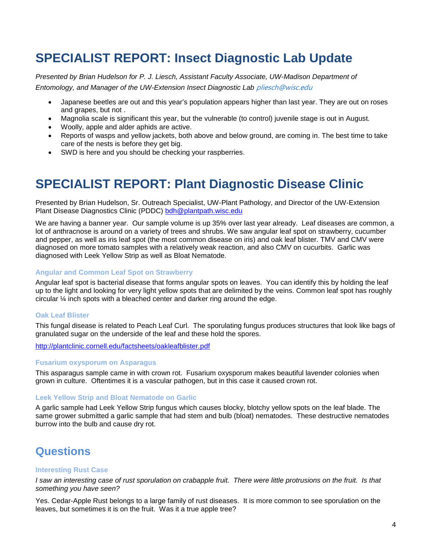## **SPECIALIST REPORT: Insect Diagnostic Lab Update**

*Presented by Brian Hudelson for P. J. Liesch, Assistant Faculty Associate, UW-Madison Department of Entomology, and Manager of the UW-Extension Insect Diagnostic Lab* [pliesch@wisc.edu](mailto:pliesch@wisc.edu)

- Japanese beetles are out and this year's population appears higher than last year. They are out on roses and grapes, but not .
- Magnolia scale is significant this year, but the vulnerable (to control) juvenile stage is out in August.
- Woolly, apple and alder aphids are active.
- Reports of wasps and yellow jackets, both above and below ground, are coming in. The best time to take care of the nests is before they get big.
- SWD is here and you should be checking your raspberries.

## **SPECIALIST REPORT: Plant Diagnostic Disease Clinic**

Presented by Brian Hudelson, Sr. Outreach Specialist, UW-Plant Pathology, and Director of the UW-Extension Plant Disease Diagnostics Clinic (PDDC) [bdh@plantpath.wisc.edu](mailto:bdh@plantpath.wisc.edu)

We are having a banner year. Our sample volume is up 35% over last year already. Leaf diseases are common, a lot of anthracnose is around on a variety of trees and shrubs. We saw angular leaf spot on strawberry, cucumber and pepper, as well as iris leaf spot (the most common disease on iris) and oak leaf blister. TMV and CMV were diagnosed on more tomato samples with a relatively weak reaction, and also CMV on cucurbits. Garlic was diagnosed with Leek Yellow Strip as well as Bloat Nematode.

### **Angular and Common Leaf Spot on Strawberry**

Angular leaf spot is bacterial disease that forms angular spots on leaves. You can identify this by holding the leaf up to the light and looking for very light yellow spots that are delimited by the veins. Common leaf spot has roughly circular ¼ inch spots with a bleached center and darker ring around the edge.

### **Oak Leaf Blister**

This fungal disease is related to Peach Leaf Curl. The sporulating fungus produces structures that look like bags of granulated sugar on the underside of the leaf and these hold the spores.

<http://plantclinic.cornell.edu/factsheets/oakleafblister.pdf>

### **Fusarium oxysporum on Asparagus**

This asparagus sample came in with crown rot. Fusarium oxysporum makes beautiful lavender colonies when grown in culture. Oftentimes it is a vascular pathogen, but in this case it caused crown rot.

### **Leek Yellow Strip and Bloat Nematode on Garlic**

A garlic sample had Leek Yellow Strip fungus which causes blocky, blotchy yellow spots on the leaf blade. The same grower submitted a garlic sample that had stem and bulb (bloat) nematodes. These destructive nematodes burrow into the bulb and cause dry rot.

### **Questions**

### **Interesting Rust Case**

*I saw an interesting case of rust sporulation on crabapple fruit. There were little protrusions on the fruit. Is that something you have seen?* 

Yes. Cedar-Apple Rust belongs to a large family of rust diseases. It is more common to see sporulation on the leaves, but sometimes it is on the fruit. Was it a true apple tree?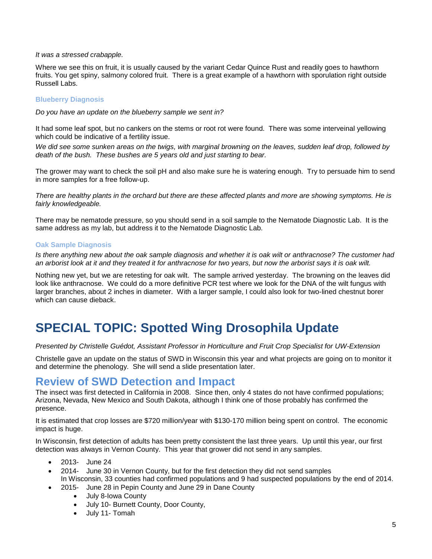### *It was a stressed crabapple.*

Where we see this on fruit, it is usually caused by the variant Cedar Quince Rust and readily goes to hawthorn fruits. You get spiny, salmony colored fruit. There is a great example of a hawthorn with sporulation right outside Russell Labs.

### **Blueberry Diagnosis**

*Do you have an update on the blueberry sample we sent in?*

It had some leaf spot, but no cankers on the stems or root rot were found. There was some interveinal yellowing which could be indicative of a fertility issue.

*We did see some sunken areas on the twigs, with marginal browning on the leaves, sudden leaf drop, followed by death of the bush. These bushes are 5 years old and just starting to bear.*

The grower may want to check the soil pH and also make sure he is watering enough. Try to persuade him to send in more samples for a free follow-up.

*There are healthy plants in the orchard but there are these affected plants and more are showing symptoms. He is fairly knowledgeable.* 

There may be nematode pressure, so you should send in a soil sample to the Nematode Diagnostic Lab. It is the same address as my lab, but address it to the Nematode Diagnostic Lab.

### **Oak Sample Diagnosis**

*Is there anything new about the oak sample diagnosis and whether it is oak wilt or anthracnose? The customer had an arborist look at it and they treated it for anthracnose for two years, but now the arborist says it is oak wilt.*

Nothing new yet, but we are retesting for oak wilt. The sample arrived yesterday. The browning on the leaves did look like anthracnose. We could do a more definitive PCR test where we look for the DNA of the wilt fungus with larger branches, about 2 inches in diameter. With a larger sample, I could also look for two-lined chestnut borer which can cause dieback.

## **SPECIAL TOPIC: Spotted Wing Drosophila Update**

*Presented by Christelle Guédot, Assistant Professor in Horticulture and Fruit Crop Specialist for UW-Extension*

Christelle gave an update on the status of SWD in Wisconsin this year and what projects are going on to monitor it and determine the phenology. She will send a slide presentation later.

### **Review of SWD Detection and Impact**

The insect was first detected in California in 2008. Since then, only 4 states do not have confirmed populations; Arizona, Nevada, New Mexico and South Dakota, although I think one of those probably has confirmed the presence.

It is estimated that crop losses are \$720 million/year with \$130-170 million being spent on control. The economic impact is huge.

In Wisconsin, first detection of adults has been pretty consistent the last three years. Up until this year, our first detection was always in Vernon County. This year that grower did not send in any samples.

- 2013- June 24
- 2014- June 30 in Vernon County, but for the first detection they did not send samples In Wisconsin, 33 counties had confirmed populations and 9 had suspected populations by the end of 2014.
	- 2015- June 28 in Pepin County and June 29 in Dane County
		- July 8-Iowa County
		- July 10- Burnett County, Door County,
		- July 11- Tomah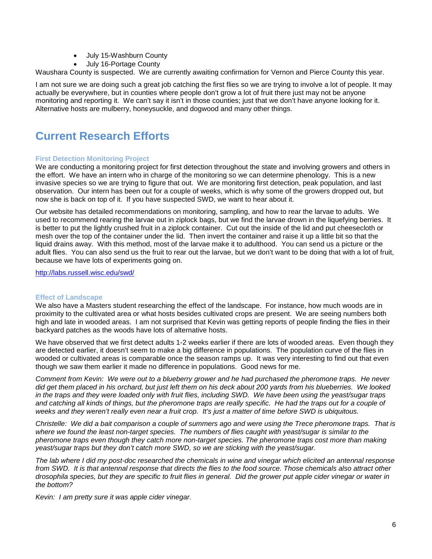- July 15-Washburn County
- July 16-Portage County

Waushara County is suspected. We are currently awaiting confirmation for Vernon and Pierce County this year.

I am not sure we are doing such a great job catching the first flies so we are trying to involve a lot of people. It may actually be everywhere, but in counties where people don't grow a lot of fruit there just may not be anyone monitoring and reporting it. We can't say it isn't in those counties; just that we don't have anyone looking for it. Alternative hosts are mulberry, honeysuckle, and dogwood and many other things.

### **Current Research Efforts**

### **First Detection Monitoring Project**

We are conducting a monitoring project for first detection throughout the state and involving growers and others in the effort. We have an intern who in charge of the monitoring so we can determine phenology. This is a new invasive species so we are trying to figure that out. We are monitoring first detection, peak population, and last observation. Our intern has been out for a couple of weeks, which is why some of the growers dropped out, but now she is back on top of it. If you have suspected SWD, we want to hear about it.

Our website has detailed recommendations on monitoring, sampling, and how to rear the larvae to adults. We used to recommend rearing the larvae out in ziplock bags, but we find the larvae drown in the liquefying berries. It is better to put the lightly crushed fruit in a ziplock container. Cut out the inside of the lid and put cheesecloth or mesh over the top of the container under the lid. Then invert the container and raise it up a little bit so that the liquid drains away. With this method, most of the larvae make it to adulthood. You can send us a picture or the adult flies. You can also send us the fruit to rear out the larvae, but we don't want to be doing that with a lot of fruit, because we have lots of experiments going on.

<http://labs.russell.wisc.edu/swd/>

### **Effect of Landscape**

We also have a Masters student researching the effect of the landscape. For instance, how much woods are in proximity to the cultivated area or what hosts besides cultivated crops are present. We are seeing numbers both high and late in wooded areas. I am not surprised that Kevin was getting reports of people finding the flies in their backyard patches as the woods have lots of alternative hosts.

We have observed that we first detect adults 1-2 weeks earlier if there are lots of wooded areas. Even though they are detected earlier, it doesn't seem to make a big difference in populations. The population curve of the flies in wooded or cultivated areas is comparable once the season ramps up. It was very interesting to find out that even though we saw them earlier it made no difference in populations. Good news for me.

*Comment from Kevin: We were out to a blueberry grower and he had purchased the pheromone traps. He never did get them placed in his orchard, but just left them on his deck about 200 yards from his blueberries. We looked in the traps and they were loaded only with fruit flies, including SWD. We have been using the yeast/sugar traps and catching all kinds of things, but the pheromone traps are really specific. He had the traps out for a couple of weeks and they weren't really even near a fruit crop. It's just a matter of time before SWD is ubiquitous.*

*Christelle: We did a bait comparison a couple of summers ago and were using the Trece pheromone traps. That is where we found the least non-target species. The numbers of flies caught with yeast/sugar is similar to the pheromone traps even though they catch more non-target species. The pheromone traps cost more than making yeast/sugar traps but they don't catch more SWD, so we are sticking with the yeast/sugar.*

*The lab where I did my post-doc researched the chemicals in wine and vinegar which elicited an antennal response from SWD. It is that antennal response that directs the flies to the food source. Those chemicals also attract other drosophila species, but they are specific to fruit flies in general. Did the grower put apple cider vinegar or water in the bottom?*

*Kevin: I am pretty sure it was apple cider vinegar.*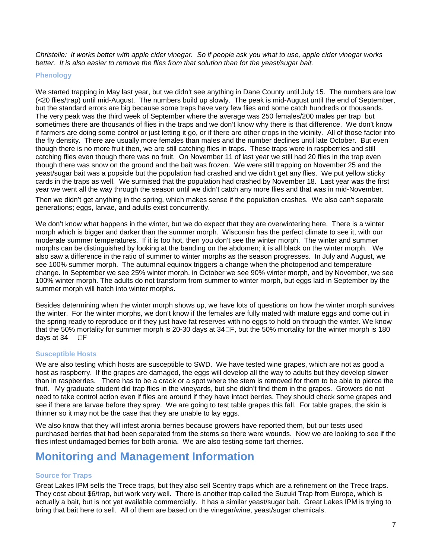*Christelle: It works better with apple cider vinegar. So if people ask you what to use, apple cider vinegar works better. It is also easier to remove the flies from that solution than for the yeast/sugar bait.*

### **Phenology**

We started trapping in May last year, but we didn't see anything in Dane County until July 15. The numbers are low (<20 flies/trap) until mid-August. The numbers build up slowly. The peak is mid-August until the end of September, but the standard errors are big because some traps have very few flies and some catch hundreds or thousands. The very peak was the third week of September where the average was 250 females/200 males per trap but sometimes there are thousands of flies in the traps and we don't know why there is that difference. We don't know if farmers are doing some control or just letting it go, or if there are other crops in the vicinity. All of those factor into the fly density. There are usually more females than males and the number declines until late October. But even though there is no more fruit then, we are still catching flies in traps. These traps were in raspberries and still catching flies even though there was no fruit. On November 11 of last year we still had 20 flies in the trap even though there was snow on the ground and the bait was frozen. We were still trapping on November 25 and the yeast/sugar bait was a popsicle but the population had crashed and we didn't get any flies. We put yellow sticky cards in the traps as well. We surmised that the population had crashed by November 18. Last year was the first year we went all the way through the season until we didn't catch any more flies and that was in mid-November.

Then we didn't get anything in the spring, which makes sense if the population crashes. We also can't separate generations; eggs, larvae, and adults exist concurrently.

We don't know what happens in the winter, but we do expect that they are overwintering here. There is a winter morph which is bigger and darker than the summer morph. Wisconsin has the perfect climate to see it, with our moderate summer temperatures. If it is too hot, then you don't see the winter morph. The winter and summer morphs can be distinguished by looking at the banding on the abdomen; it is all black on the winter morph. We also saw a difference in the ratio of summer to winter morphs as the season progresses. In July and August, we see 100% summer morph. The autumnal equinox triggers a change when the photoperiod and temperature change. In September we see 25% winter morph, in October we see 90% winter morph, and by November, we see 100% winter morph. The adults do not transform from summer to winter morph, but eggs laid in September by the summer morph will hatch into winter morphs.

Besides determining when the winter morph shows up, we have lots of questions on how the winter morph survives the winter. For the winter morphs, we don't know if the females are fully mated with mature eggs and come out in the spring ready to reproduce or if they just have fat reserves with no eggs to hold on through the winter. We know that the 50% mortality for summer morph is 20-30 days at  $34\square$ F, but the 50% mortality for the winter morph is 180 days at  $34$   $\Box$ F

### **Susceptible Hosts**

We are also testing which hosts are susceptible to SWD. We have tested wine grapes, which are not as good a host as raspberry. If the grapes are damaged, the eggs will develop all the way to adults but they develop slower than in raspberries. There has to be a crack or a spot where the stem is removed for them to be able to pierce the fruit. My graduate student did trap flies in the vineyards, but she didn't find them in the grapes. Growers do not need to take control action even if flies are around if they have intact berries. They should check some grapes and see if there are larvae before they spray. We are going to test table grapes this fall. For table grapes, the skin is thinner so it may not be the case that they are unable to lay eggs.

We also know that they will infest aronia berries because growers have reported them, but our tests used purchased berries that had been separated from the stems so there were wounds. Now we are looking to see if the flies infest undamaged berries for both aronia. We are also testing some tart cherries.

### **Monitoring and Management Information**

### **Source for Traps**

Great Lakes IPM sells the Trece traps, but they also sell Scentry traps which are a refinement on the Trece traps. They cost about \$6/trap, but work very well. There is another trap called the Suzuki Trap from Europe, which is actually a bait, but is not yet available commercially. It has a similar yeast/sugar bait. Great Lakes IPM is trying to bring that bait here to sell. All of them are based on the vinegar/wine, yeast/sugar chemicals.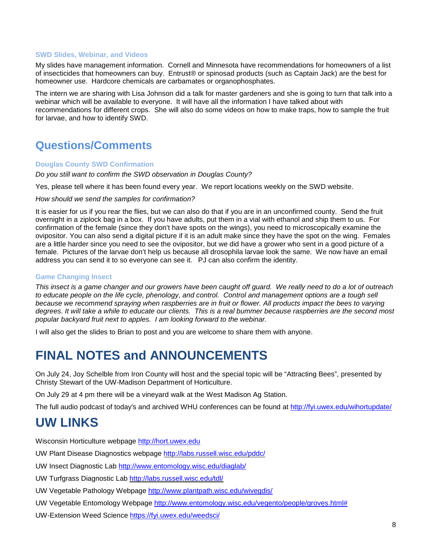#### **SWD Slides, Webinar, and Videos**

My slides have management information. Cornell and Minnesota have recommendations for homeowners of a list of insecticides that homeowners can buy. Entrust® or spinosad products (such as Captain Jack) are the best for homeowner use. Hardcore chemicals are carbamates or organophosphates.

The intern we are sharing with Lisa Johnson did a talk for master gardeners and she is going to turn that talk into a webinar which will be available to everyone. It will have all the information I have talked about with recommendations for different crops. She will also do some videos on how to make traps, how to sample the fruit for larvae, and how to identify SWD.

### **Questions/Comments**

#### **Douglas County SWD Confirmation**

*Do you still want to confirm the SWD observation in Douglas County?*

Yes, please tell where it has been found every year. We report locations weekly on the SWD website.

#### *How should we send the samples for confirmation?*

It is easier for us if you rear the flies, but we can also do that if you are in an unconfirmed county. Send the fruit overnight in a ziplock bag in a box. If you have adults, put them in a vial with ethanol and ship them to us. For confirmation of the female (since they don't have spots on the wings), you need to microscopically examine the ovipositor. You can also send a digital picture if it is an adult make since they have the spot on the wing. Females are a little harder since you need to see the ovipositor, but we did have a grower who sent in a good picture of a female. Pictures of the larvae don't help us because all drosophila larvae look the same. We now have an email address you can send it to so everyone can see it. PJ can also confirm the identity.

### **Game Changing Insect**

*This insect is a game changer and our growers have been caught off guard. We really need to do a lot of outreach*  to educate people on the life cycle, phenology, and control. Control and management options are a tough sell *because we recommend spraying when raspberries are in fruit or flower. All products impact the bees to varying degrees. It will take a while to educate our clients. This is a real bummer because raspberries are the second most popular backyard fruit next to apples. I am looking forward to the webinar.*

I will also get the slides to Brian to post and you are welcome to share them with anyone.

### **FINAL NOTES and ANNOUNCEMENTS**

On July 24, Joy Schelble from Iron County will host and the special topic will be "Attracting Bees", presented by Christy Stewart of the UW-Madison Department of Horticulture.

On July 29 at 4 pm there will be a vineyard walk at the West Madison Ag Station.

The full audio podcast of today's and archived WHU conferences can be found at<http://fyi.uwex.edu/wihortupdate/>

### **UW LINKS**

Wisconsin Horticulture webpage [http://hort.uwex.edu](http://hort.uwex.edu/)

UW Plant Disease Diagnostics webpage<http://labs.russell.wisc.edu/pddc/>

UW Insect Diagnostic Lab<http://www.entomology.wisc.edu/diaglab/>

UW Turfgrass Diagnostic Lab<http://labs.russell.wisc.edu/tdl/>

UW Vegetable Pathology Webpage<http://www.plantpath.wisc.edu/wivegdis/>

UW Vegetable Entomology Webpage [http://www.entomology.wisc.edu/vegento/people/groves.html#](http://www.entomology.wisc.edu/vegento/people/groves.html%23)

UW-Extension Weed Science https://fyi.uwex.edu/weedsci/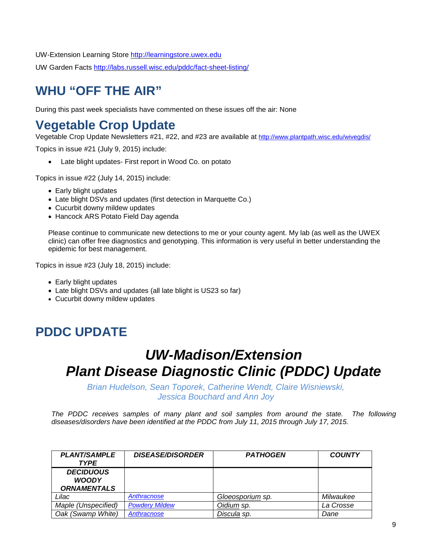UW-Extension Learning Store [http://learningstore.uwex.edu](http://learningstore.uwex.edu/)

UW Garden Facts<http://labs.russell.wisc.edu/pddc/fact-sheet-listing/>

## **WHU "OFF THE AIR"**

During this past week specialists have commented on these issues off the air: None

## **Vegetable Crop Update**

Vegetable Crop Update Newsletters #21, #22, and #23 are available at<http://www.plantpath.wisc.edu/wivegdis/>

Topics in issue #21 (July 9, 2015) include:

• Late blight updates- First report in Wood Co. on potato

Topics in issue #22 (July 14, 2015) include:

- Early blight updates
- Late blight DSVs and updates (first detection in Marquette Co.)
- Cucurbit downy mildew updates
- Hancock ARS Potato Field Day agenda

Please continue to communicate new detections to me or your county agent. My lab (as well as the UWEX clinic) can offer free diagnostics and genotyping. This information is very useful in better understanding the epidemic for best management.

Topics in issue #23 (July 18, 2015) include:

- Early blight updates
- Late blight DSVs and updates (all late blight is US23 so far)
- Cucurbit downy mildew updates

## **PDDC UPDATE**

## *UW-Madison/Extension Plant Disease Diagnostic Clinic (PDDC) Update*

*Brian Hudelson, Sean Toporek, Catherine Wendt, Claire Wisniewski, Jessica Bouchard and Ann Joy*

*The PDDC receives samples of many plant and soil samples from around the state. The following diseases/disorders have been identified at the PDDC from July 11, 2015 through July 17, 2015.*

| <b>PLANT/SAMPLE</b><br><b>TYPE</b>                     | <b>DISEASE/DISORDER</b> | <b>PATHOGEN</b>  | <b>COUNTY</b> |
|--------------------------------------------------------|-------------------------|------------------|---------------|
| <b>DECIDUOUS</b><br><b>WOODY</b><br><b>ORNAMENTALS</b> |                         |                  |               |
| Lilac                                                  | Anthracnose             | Gloeosporium sp. | Milwaukee     |
| Maple (Unspecified)                                    | <b>Powdery Mildew</b>   | Oidium sp.       | La Crosse     |
| Oak (Swamp White)                                      | Anthracnose             | Discula sp.      | Dane          |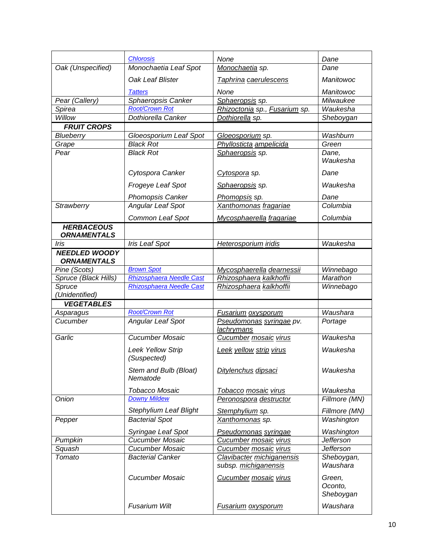|                                         | <b>Chlorosis</b>                        | None                                              | Dane                           |
|-----------------------------------------|-----------------------------------------|---------------------------------------------------|--------------------------------|
| Oak (Unspecified)                       | Monochaetia Leaf Spot                   | Monochaetia sp.                                   | Dane                           |
|                                         | Oak Leaf Blister                        | Taphrina caerulescens                             | Manitowoc                      |
|                                         | <b>Tatters</b>                          | None                                              | Manitowoc                      |
| Pear (Callery)                          | Sphaeropsis Canker                      | Sphaeropsis sp.                                   | Milwaukee                      |
| Spirea                                  | <b>Root/Crown Rot</b>                   | Rhizoctonia sp., Fusarium sp.                     | Waukesha                       |
| Willow                                  | Dothiorella Canker                      | Dothiorella sp.                                   | Sheboygan                      |
| <b>FRUIT CROPS</b>                      |                                         |                                                   |                                |
| Blueberry                               | Gloeosporium Leaf Spot                  | Gloeosporium sp.                                  | Washburn                       |
| Grape                                   | <b>Black Rot</b>                        | Phyllosticta ampelicida                           | Green                          |
| Pear                                    | <b>Black Rot</b>                        | Sphaeropsis sp.                                   | Dane,<br>Waukesha              |
|                                         | Cytospora Canker                        | Cytospora sp.                                     | Dane                           |
|                                         | Frogeye Leaf Spot                       | Sphaeropsis sp.                                   | Waukesha                       |
|                                         | <b>Phomopsis Canker</b>                 | Phomopsis sp.                                     | Dane                           |
| Strawberry                              | <b>Angular Leaf Spot</b>                | Xanthomonas fragariae                             | Columbia                       |
|                                         | Common Leaf Spot                        | Mycosphaerella fragariae                          | Columbia                       |
| <b>HERBACEOUS</b><br><b>ORNAMENTALS</b> |                                         |                                                   |                                |
| Iris                                    | <b>Iris Leaf Spot</b>                   | Heterosporium iridis                              | Waukesha                       |
| <b>NEEDLED WOODY</b>                    |                                         |                                                   |                                |
| <b>ORNAMENTALS</b>                      |                                         |                                                   |                                |
| Pine (Scots)                            | <b>Brown Spot</b>                       | Mycosphaerella dearnessii                         | Winnebago                      |
| Spruce (Black Hills)                    | Rhizosphaera Needle Cast                | Rhizosphaera kalkhoffii                           | Marathon                       |
| Spruce                                  | <b>Rhizosphaera Needle Cast</b>         | Rhizosphaera kalkhoffii                           | Winnebago                      |
| (Unidentified)                          |                                         |                                                   |                                |
| <b>VEGETABLES</b>                       |                                         |                                                   |                                |
| Asparagus                               | <b>Root/Crown Rot</b>                   | Fusarium oxysporum                                | Waushara                       |
| Cucumber                                | <b>Angular Leaf Spot</b>                | Pseudomonas syringae pv.<br>lachrymans            | Portage                        |
| Garlic                                  | Cucumber Mosaic                         | Cucumber mosaic virus                             | Waukesha                       |
|                                         | <b>Leek Yellow Strip</b><br>(Suspected) | Leek yellow strip virus                           | Waukesha                       |
|                                         | Stem and Bulb (Bloat)<br>Nematode       | Ditylenchus dipsaci                               | Waukesha                       |
|                                         | <b>Tobacco Mosaic</b>                   | Tobacco mosaic virus                              | Waukesha                       |
| Onion                                   | <b>Downy Mildew</b>                     | Peronospora destructor                            | Fillmore (MN)                  |
|                                         | <b>Stephylium Leaf Blight</b>           | Stemphylium sp.                                   | Fillmore (MN)                  |
| Pepper                                  | <b>Bacterial Spot</b>                   | Xanthomonas sp.                                   | Washington                     |
|                                         | Syringae Leaf Spot                      | Pseudomonas syringae                              | Washington                     |
| Pumpkin                                 | Cucumber Mosaic                         | Cucumber mosaic virus                             | <b>Jefferson</b>               |
| Squash                                  | <b>Cucumber Mosaic</b>                  | Cucumber mosaic virus                             | <b>Jefferson</b>               |
| Tomato                                  | <b>Bacterial Canker</b>                 | Clavibacter michiganensis<br>subsp. michiganensis | Sheboygan,<br>Waushara         |
|                                         | Cucumber Mosaic                         | <b>Cucumber mosaic virus</b>                      | Green,<br>Oconto,<br>Sheboygan |
|                                         | <b>Fusarium Wilt</b>                    | <b>Fusarium oxysporum</b>                         | Waushara                       |